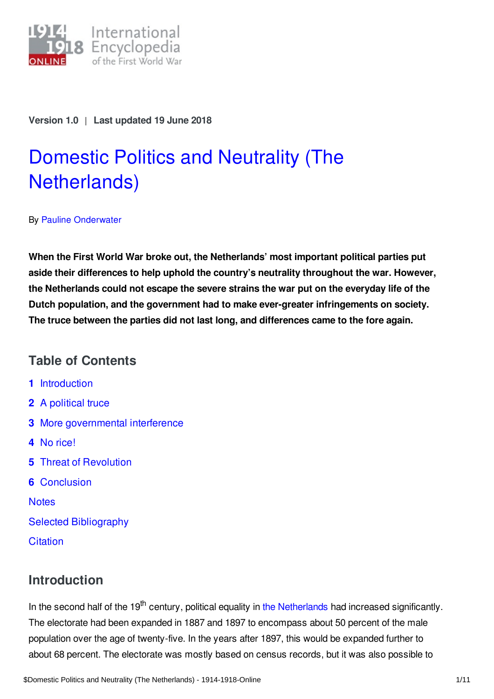

**Version 1.0** | **Last updated 19 June 2018**

# Domestic Politics and Neutrality (The [Netherlands\)](https://encyclopedia.1914-1918-online.net/article/domestic_politics_and_neutrality_the_netherlands)

By Pauline [Onderwater](https://encyclopedia.1914-1918-online.net/contributors/Pauline_Onderwater)

**When the First World War broke out, the Netherlands' most important political parties put aside their differences to help uphold the country's neutrality throughout the war. However, the Netherlands could not escape the severe strains the war put on the everyday life of the Dutch population, and the government had to make ever-greater infringements on society. The truce between the parties did not last long, and differences came to the fore again.**

# **Table of Contents**

- **1** [Introduction](#page-0-0)
- **2** A [political](#page-1-0) truce
- **3** More [governmental](#page-2-0) interference
- **4** No [rice!](#page-4-0)
- **5** Threat of [Revolution](#page-5-0)
- **6** [Conclusion](#page-6-0)

**[Notes](#page-7-0)** 

- Selected [Bibliography](#page-9-0)
- **[Citation](#page-10-0)**

# <span id="page-0-0"></span>**Introduction**

In the second half of the 19<sup>th</sup> century, political equality in the [Netherlands](https://encyclopedia.1914-1918-online.net/article/the_netherlands) had increased significantly. The electorate had been expanded in 1887 and 1897 to encompass about 50 percent of the male population over the age of twenty-five. In the years after 1897, this would be expanded further to about 68 percent. The electorate was mostly based on census records, but it was also possible to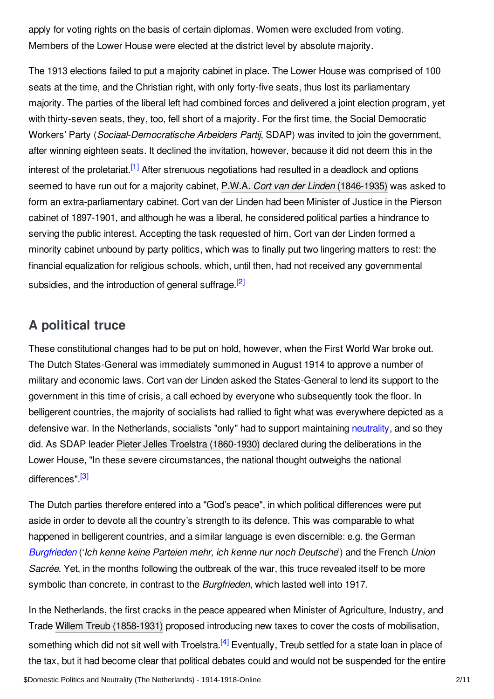apply for voting rights on the basis of certain diplomas. Women were excluded from voting. Members of the Lower House were elected at the district level by absolute majority.

<span id="page-1-1"></span>The 1913 elections failed to put a majority cabinet in place. The Lower House was comprised of 100 seats at the time, and the Christian right, with only forty-five seats, thus lost its parliamentary majority. The parties of the liberal left had combined forces and delivered a joint election program, yet with thirty-seven seats, they, too, fell short of a majority. For the first time, the Social Democratic Workers' Party (*Sociaal-Democratische Arbeiders Partij*, SDAP) was invited to join the government, after winning eighteen seats. It declined the invitation, however, because it did not deem this in the interest of the proletariat.<sup>[\[1\]](#page-7-1)</sup> After strenuous negotiations had resulted in a deadlock and options seemed to have run out for a majority cabinet, P.W.A. *Cort van der Linden* [\(1846-1935\)](https://encyclopedia.1914-1918-online.net/index/names/134246284) was asked to form an extra-parliamentary cabinet. Cort van der Linden had been Minister of Justice in the Pierson cabinet of 1897-1901, and although he was a liberal, he considered political parties a hindrance to serving the public interest. Accepting the task requested of him, Cort van der Linden formed a minority cabinet unbound by party politics, which was to finally put two lingering matters to rest: the financial equalization for religious schools, which, until then, had not received any governmental subsidies, and the introduction of general suffrage.<sup>[\[2\]](#page-7-2)</sup>

# <span id="page-1-2"></span><span id="page-1-0"></span>**A political truce**

These constitutional changes had to be put on hold, however, when the First World War broke out. The Dutch States-General was immediately summoned in August 1914 to approve a number of military and economic laws. Cort van der Linden asked the States-General to lend its support to the government in this time of crisis, a call echoed by everyone who subsequently took the floor. In belligerent countries, the majority of socialists had rallied to fight what was everywhere depicted as a defensive war. In the Netherlands, socialists "only" had to support maintaining [neutrality](https://encyclopedia.1914-1918-online.net/article/neutrality), and so they did. As SDAP leader Pieter Jelles Troelstra [\(1860-1930\)](https://encyclopedia.1914-1918-online.net/index/names/122084926) declared during the deliberations in the Lower House, "In these severe circumstances, the national thought outweighs the national differences".<sup>[\[3\]](#page-7-3)</sup>

<span id="page-1-3"></span>The Dutch parties therefore entered into a "God's peace", in which political differences were put aside in order to devote all the country's strength to its defence. This was comparable to what happened in belligerent countries, and a similar language is even discernible: e.g. the German *[Burgfrieden](https://encyclopedia.1914-1918-online.net/article/burgfriedenunion_sacree)* ('*Ich kenne keine Parteien mehr, ich kenne nur noch Deutsche*') and the French *Union Sacrée*. Yet, in the months following the outbreak of the war, this truce revealed itself to be more symbolic than concrete, in contrast to the *Burgfrieden*, which lasted well into 1917.

<span id="page-1-4"></span>In the Netherlands, the first cracks in the peace appeared when Minister of Agriculture, Industry, and Trade Willem Treub [\(1858-1931\)](https://encyclopedia.1914-1918-online.net/index/names/138601100) proposed introducing new taxes to cover the costs of mobilisation, something which did not sit well with Troelstra.<sup>[\[4\]](#page-7-4)</sup> Eventually, Treub settled for a state loan in place of the tax, but it had become clear that political debates could and would not be suspended for the entire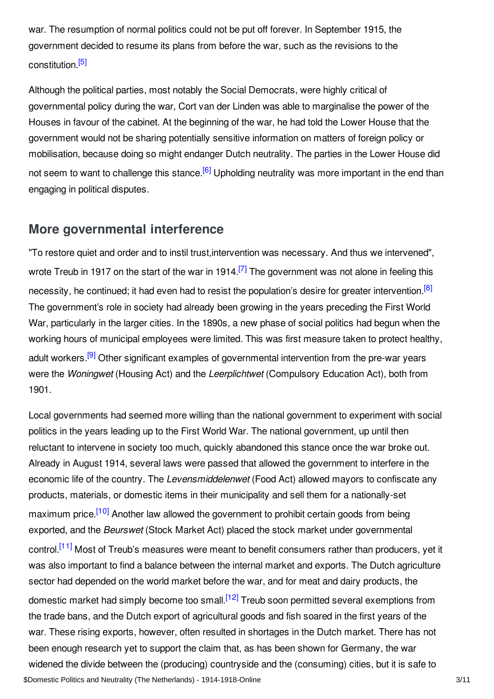war. The resumption of normal politics could not be put off forever. In September 1915, the government decided to resume its plans from before the war, such as the revisions to the constitution. [\[5\]](#page-7-5)

<span id="page-2-1"></span>Although the political parties, most notably the Social Democrats, were highly critical of governmental policy during the war, Cort van der Linden was able to marginalise the power of the Houses in favour of the cabinet. At the beginning of the war, he had told the Lower House that the government would not be sharing potentially sensitive information on matters of foreign policy or mobilisation, because doing so might endanger Dutch neutrality. The parties in the Lower House did not seem to want to challenge this stance.<sup>[\[6\]](#page-7-6)</sup> Upholding neutrality was more important in the end than engaging in political disputes.

## <span id="page-2-2"></span><span id="page-2-0"></span>**More governmental interference**

<span id="page-2-4"></span><span id="page-2-3"></span>"To restore quiet and order and to instil trust,intervention was necessary. And thus we intervened", wrote Treub in 1917 on the start of the war in 1914.<sup>[\[7\]](#page-7-7)</sup> The government was not alone in feeling this necessity, he continued; it had even had to resist the population's desire for greater intervention.<sup>[\[8\]](#page-7-8)</sup> The government's role in society had already been growing in the years preceding the First World War, particularly in the larger cities. In the 1890s, a new phase of social politics had begun when the working hours of municipal employees were limited. This was first measure taken to protect healthy, adult workers.<sup>[\[9\]](#page-8-0)</sup> Other significant examples of governmental intervention from the pre-war years were the *Woningwet* (Housing Act) and the *Leerplichtwet* (Compulsory Education Act), both from 1901.

<span id="page-2-8"></span><span id="page-2-7"></span><span id="page-2-6"></span><span id="page-2-5"></span>Local governments had seemed more willing than the national government to experiment with social politics in the years leading up to the First World War. The national government, up until then reluctant to intervene in society too much, quickly abandoned this stance once the war broke out. Already in August 1914, several laws were passed that allowed the government to interfere in the economic life of the country. The *Levensmiddelenwet* (Food Act) allowed mayors to confiscate any products, materials, or domestic items in their municipality and sell them for a nationally-set maximum price.<sup>[\[10\]](#page-8-1)</sup> Another law allowed the government to prohibit certain goods from being exported, and the *Beurswet* (Stock Market Act) placed the stock market under governmental control.<sup>[\[11\]](#page-8-2)</sup> Most of Treub's measures were meant to benefit consumers rather than producers, yet it was also important to find a balance between the internal market and exports. The Dutch agriculture sector had depended on the world market before the war, and for meat and dairy products, the domestic market had simply become too small.<sup>[\[12\]](#page-8-3)</sup> Treub soon permitted several exemptions from the trade bans, and the Dutch export of agricultural goods and fish soared in the first years of the war. These rising exports, however, often resulted in shortages in the Dutch market. There has not been enough research yet to support the claim that, as has been shown for Germany, the war widened the divide between the (producing) countryside and the (consuming) cities, but it is safe to \$Domestic Politics and Neutrality (The Netherlands) - 1914-1918-Online 3/11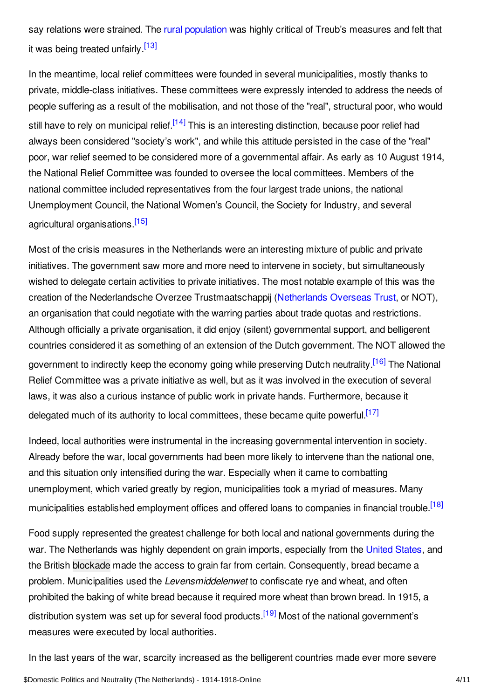<span id="page-3-0"></span>say relations were strained. The rural [population](https://encyclopedia.1914-1918-online.net/article/rural_society) was highly critical of Treub's measures and felt that it was being treated unfairly.<sup>[\[13\]](#page-8-4)</sup>

<span id="page-3-1"></span>In the meantime, local relief committees were founded in several municipalities, mostly thanks to private, middle-class initiatives. These committees were expressly intended to address the needs of people suffering as a result of the mobilisation, and not those of the "real", structural poor, who would still have to rely on municipal relief.<sup>[\[14\]](#page-8-5)</sup> This is an interesting distinction, because poor relief had always been considered "society's work", and while this attitude persisted in the case of the "real" poor, war relief seemed to be considered more of a governmental affair. As early as 10 August 1914, the National Relief Committee was founded to oversee the local committees. Members of the national committee included representatives from the four largest trade unions, the national Unemployment Council, the National Women's Council, the Society for Industry, and several agricultural organisations.<sup>[\[15\]](#page-8-6)</sup>

<span id="page-3-2"></span>Most of the crisis measures in the Netherlands were an interesting mixture of public and private initiatives. The government saw more and more need to intervene in society, but simultaneously wished to delegate certain activities to private initiatives. The most notable example of this was the creation of the Nederlandsche Overzee Trustmaatschappij ([Netherlands](https://encyclopedia.1914-1918-online.net/article/netherlands_overseas_trust_not) Overseas Trust, or NOT), an organisation that could negotiate with the warring parties about trade quotas and restrictions. Although officially a private organisation, it did enjoy (silent) governmental support, and belligerent countries considered it as something of an extension of the Dutch government. The NOT allowed the government to indirectly keep the economy going while preserving Dutch neutrality.<sup>[\[16\]](#page-8-7)</sup> The National Relief Committee was a private initiative as well, but as it was involved in the execution of several laws, it was also a curious instance of public work in private hands. Furthermore, because it delegated much of its authority to local committees, these became quite powerful.<sup>[\[17\]](#page-8-8)</sup>

<span id="page-3-4"></span><span id="page-3-3"></span>Indeed, local authorities were instrumental in the increasing governmental intervention in society. Already before the war, local governments had been more likely to intervene than the national one, and this situation only intensified during the war. Especially when it came to combatting unemployment, which varied greatly by region, municipalities took a myriad of measures. Many municipalities established employment offices and offered loans to companies in financial trouble.<sup>[\[18\]](#page-8-9)</sup>

<span id="page-3-5"></span>Food supply represented the greatest challenge for both local and national governments during the war. The Netherlands was highly dependent on grain imports, especially from the [United](https://encyclopedia.1914-1918-online.net/article/united_states_of_america) States, and the British [blockade](https://encyclopedia.1914-1918-online.net/article/naval_blockade_of_germany) made the access to grain far from certain. Consequently, bread became a problem. Municipalities used the *Levensmiddelenwet* to confiscate rye and wheat, and often prohibited the baking of white bread because it required more wheat than brown bread. In 1915, a distribution system was set up for several food products.<sup>[\[19\]](#page-8-10)</sup> Most of the national government's measures were executed by local authorities.

<span id="page-3-6"></span>In the last years of the war, scarcity increased as the belligerent countries made ever more severe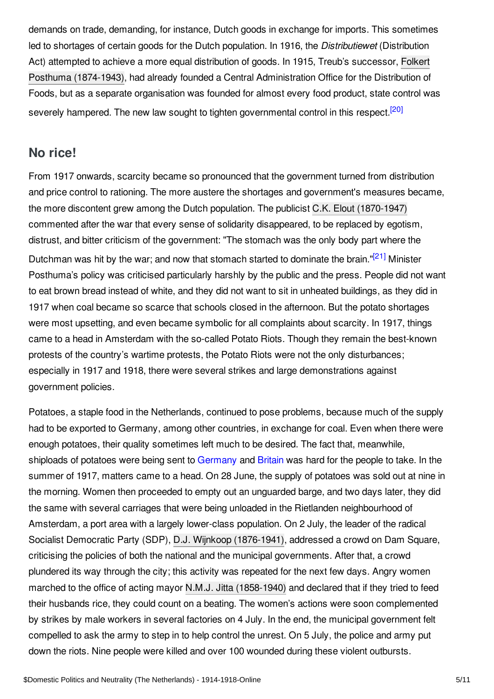demands on trade, demanding, for instance, Dutch goods in exchange for imports. This sometimes led to shortages of certain goods for the Dutch population. In 1916, the *Distributiewet* (Distribution Act) attempted to achieve a more equal distribution of goods. In 1915, Treub's successor, Folkert Posthuma (1874-1943), had already founded a Central [Administration](https://encyclopedia.1914-1918-online.net/index/names/126663661) Office for the Distribution of Foods, but as a separate organisation was founded for almost every food product, state control was severely hampered. The new law sought to tighten governmental control in this respect.<sup>[\[20\]](#page-8-11)</sup>

## <span id="page-4-1"></span><span id="page-4-0"></span>**No rice!**

From 1917 onwards, scarcity became so pronounced that the government turned from distribution and price control to rationing. The more austere the shortages and government's measures became, the more discontent grew among the Dutch population. The publicist C.K. Elout [\(1870-1947\)](https://encyclopedia.1914-1918-online.net/index/names/172062128) commented after the war that every sense of solidarity disappeared, to be replaced by egotism, distrust, and bitter criticism of the government: "The stomach was the only body part where the

<span id="page-4-2"></span>Dutchman was hit by the war; and now that stomach started to dominate the brain."<sup>[\[21\]](#page-8-12)</sup> Minister Posthuma's policy was criticised particularly harshly by the public and the press. People did not want to eat brown bread instead of white, and they did not want to sit in unheated buildings, as they did in 1917 when coal became so scarce that schools closed in the afternoon. But the potato shortages were most upsetting, and even became symbolic for all complaints about scarcity. In 1917, things came to a head in Amsterdam with the so-called Potato Riots. Though they remain the best-known protests of the country's wartime protests, the Potato Riots were not the only disturbances; especially in 1917 and 1918, there were several strikes and large demonstrations against government policies.

Potatoes, a staple food in the Netherlands, continued to pose problems, because much of the supply had to be exported to Germany, among other countries, in exchange for coal. Even when there were enough potatoes, their quality sometimes left much to be desired. The fact that, meanwhile, shiploads of potatoes were being sent to [Germany](https://encyclopedia.1914-1918-online.net/article/germany) and [Britain](https://encyclopedia.1914-1918-online.net/article/great_britain) was hard for the people to take. In the summer of 1917, matters came to a head. On 28 June, the supply of potatoes was sold out at nine in the morning. Women then proceeded to empty out an unguarded barge, and two days later, they did the same with several carriages that were being unloaded in the Rietlanden neighbourhood of Amsterdam, a port area with a largely lower-class population. On 2 July, the leader of the radical Socialist Democratic Party (SDP), D.J. Wijnkoop [\(1876-1941\)](https://encyclopedia.1914-1918-online.net/index/names/122813162), addressed a crowd on Dam Square, criticising the policies of both the national and the municipal governments. After that, a crowd plundered its way through the city; this activity was repeated for the next few days. Angry women marched to the office of acting mayor N.M.J. Jitta [\(1858-1940\)](https://encyclopedia.1914-1918-online.net/index/names/1055436189) and declared that if they tried to feed their husbands rice, they could count on a beating. The women's actions were soon complemented by strikes by male workers in several factories on 4 July. In the end, the municipal government felt compelled to ask the army to step in to help control the unrest. On 5 July, the police and army put down the riots. Nine people were killed and over 100 wounded during these violent outbursts.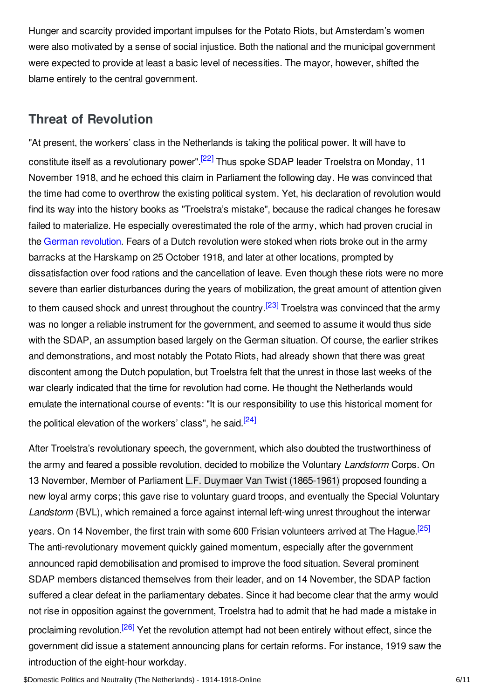Hunger and scarcity provided important impulses for the Potato Riots, but Amsterdam's women were also motivated by a sense of social injustice. Both the national and the municipal government were expected to provide at least a basic level of necessities. The mayor, however, shifted the blame entirely to the central government.

## <span id="page-5-0"></span>**Threat of Revolution**

<span id="page-5-1"></span>"At present, the workers' class in the Netherlands is taking the political power. It will have to constitute itself as a revolutionary power".<sup>[\[22\]](#page-8-13)</sup> Thus spoke SDAP leader Troelstra on Monday, 11 November 1918, and he echoed this claim in Parliament the following day. He was convinced that the time had come to overthrow the existing political system. Yet, his declaration of revolution would find its way into the history books as "Troelstra's mistake", because the radical changes he foresaw failed to materialize. He especially overestimated the role of the army, which had proven crucial in the German [revolution](https://encyclopedia.1914-1918-online.net/article/revolutions_germany). Fears of a Dutch revolution were stoked when riots broke out in the army barracks at the Harskamp on 25 October 1918, and later at other locations, prompted by dissatisfaction over food rations and the cancellation of leave. Even though these riots were no more severe than earlier disturbances during the years of mobilization, the great amount of attention given to them caused shock and unrest throughout the country.<sup>[\[23\]](#page-8-14)</sup> Troelstra was convinced that the army was no longer a reliable instrument for the government, and seemed to assume it would thus side with the SDAP, an assumption based largely on the German situation. Of course, the earlier strikes and demonstrations, and most notably the Potato Riots, had already shown that there was great discontent among the Dutch population, but Troelstra felt that the unrest in those last weeks of the war clearly indicated that the time for revolution had come. He thought the Netherlands would emulate the international course of events: "It is our responsibility to use this historical moment for the political elevation of the workers' class", he said.<sup>[\[24\]](#page-8-15)</sup>

<span id="page-5-5"></span><span id="page-5-4"></span><span id="page-5-3"></span><span id="page-5-2"></span>After Troelstra's revolutionary speech, the government, which also doubted the trustworthiness of the army and feared a possible revolution, decided to mobilize the Voluntary *Landstorm* Corps. On 13 November, Member of Parliament L.F. Duymaer Van Twist [\(1865-1961\)](https://encyclopedia.1914-1918-online.net/index/names/133827941) proposed founding a new loyal army corps; this gave rise to voluntary guard troops, and eventually the Special Voluntary *Landstorm* (BVL), which remained a force against internal left-wing unrest throughout the interwar years. On 14 November, the first train with some 600 Frisian volunteers arrived at The Hague.<sup>[\[25\]](#page-8-16)</sup> The anti-revolutionary movement quickly gained momentum, especially after the government announced rapid demobilisation and promised to improve the food situation. Several prominent SDAP members distanced themselves from their leader, and on 14 November, the SDAP faction suffered a clear defeat in the parliamentary debates. Since it had become clear that the army would not rise in opposition against the government, Troelstra had to admit that he had made a mistake in proclaiming revolution.<sup>[\[26\]](#page-9-1)</sup> Yet the revolution attempt had not been entirely without effect, since the government did issue a statement announcing plans for certain reforms. For instance, 1919 saw the introduction of the eight-hour workday.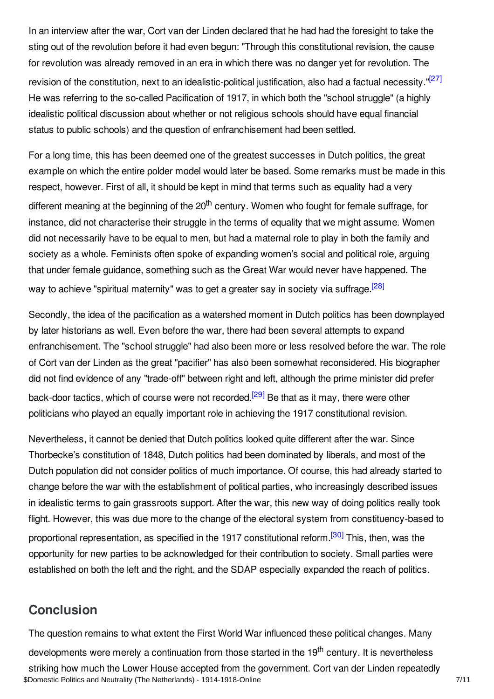<span id="page-6-1"></span>In an interview after the war, Cort van der Linden declared that he had had the foresight to take the sting out of the revolution before it had even begun: "Through this constitutional revision, the cause for revolution was already removed in an era in which there was no danger yet for revolution. The revision of the constitution, next to an idealistic-political justification, also had a factual necessity."<sup>[\[27\]](#page-9-2)</sup> He was referring to the so-called Pacification of 1917, in which both the "school struggle" (a highly idealistic political discussion about whether or not religious schools should have equal financial status to public schools) and the question of enfranchisement had been settled.

For a long time, this has been deemed one of the greatest successes in Dutch politics, the great example on which the entire polder model would later be based. Some remarks must be made in this respect, however. First of all, it should be kept in mind that terms such as equality had a very different meaning at the beginning of the 20<sup>th</sup> century. Women who fought for female suffrage, for instance, did not characterise their struggle in the terms of equality that we might assume. Women did not necessarily have to be equal to men, but had a maternal role to play in both the family and society as a whole. Feminists often spoke of expanding women's social and political role, arguing that under female guidance, something such as the Great War would never have happened. The way to achieve "spiritual maternity" was to get a greater say in society via suffrage.<sup>[\[28\]](#page-9-3)</sup>

<span id="page-6-2"></span>Secondly, the idea of the pacification as a watershed moment in Dutch politics has been downplayed by later historians as well. Even before the war, there had been several attempts to expand enfranchisement. The "school struggle" had also been more or less resolved before the war. The role of Cort van der Linden as the great "pacifier" has also been somewhat reconsidered. His biographer did not find evidence of any "trade-off" between right and left, although the prime minister did prefer back-door tactics, which of course were not recorded.<sup>[\[29\]](#page-9-4)</sup> Be that as it may, there were other politicians who played an equally important role in achieving the 1917 constitutional revision.

<span id="page-6-3"></span>Nevertheless, it cannot be denied that Dutch politics looked quite different after the war. Since Thorbecke's constitution of 1848, Dutch politics had been dominated by liberals, and most of the Dutch population did not consider politics of much importance. Of course, this had already started to change before the war with the establishment of political parties, who increasingly described issues in idealistic terms to gain grassroots support. After the war, this new way of doing politics really took flight. However, this was due more to the change of the electoral system from constituency-based to proportional representation, as specified in the 1917 constitutional reform.<sup>[\[30\]](#page-9-5)</sup> This, then, was the opportunity for new parties to be acknowledged for their contribution to society. Small parties were established on both the left and the right, and the SDAP especially expanded the reach of politics.

## <span id="page-6-4"></span><span id="page-6-0"></span>**Conclusion**

The question remains to what extent the First World War influenced these political changes. Many developments were merely a continuation from those started in the 19<sup>th</sup> century. It is nevertheless striking how much the Lower House accepted from the government. Cort van der Linden repeatedly \$Domestic Politics and Neutrality (The Netherlands) - 1914-1918-Online 7/11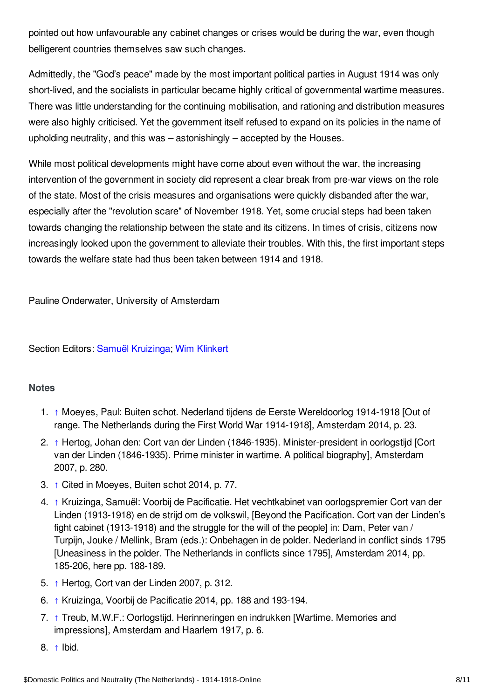pointed out how unfavourable any cabinet changes or crises would be during the war, even though belligerent countries themselves saw such changes.

Admittedly, the "God's peace" made by the most important political parties in August 1914 was only short-lived, and the socialists in particular became highly critical of governmental wartime measures. There was little understanding for the continuing mobilisation, and rationing and distribution measures were also highly criticised. Yet the government itself refused to expand on its policies in the name of upholding neutrality, and this was – astonishingly – accepted by the Houses.

While most political developments might have come about even without the war, the increasing intervention of the government in society did represent a clear break from pre-war views on the role of the state. Most of the crisis measures and organisations were quickly disbanded after the war, especially after the "revolution scare" of November 1918. Yet, some crucial steps had been taken towards changing the relationship between the state and its citizens. In times of crisis, citizens now increasingly looked upon the government to alleviate their troubles. With this, the first important steps towards the welfare state had thus been taken between 1914 and 1918.

Pauline Onderwater, University of Amsterdam

Section Editors: Samuël [Kruizinga;](https://encyclopedia.1914-1918-online.net/contributors/Samuel_Kruizinga) Wim [Klinkert](https://encyclopedia.1914-1918-online.net/contributors/Wim_Klinkert)

#### <span id="page-7-0"></span>**Notes**

- <span id="page-7-1"></span>1. [↑](#page-1-1) Moeyes, Paul: Buiten schot. Nederland tijdens de Eerste Wereldoorlog 1914-1918 [Out of range. The Netherlands during the First World War 1914-1918], Amsterdam 2014, p. 23.
- <span id="page-7-2"></span>2. [↑](#page-1-2) Hertog, Johan den: Cort van der Linden (1846-1935). Minister-president in oorlogstijd [Cort van der Linden (1846-1935). Prime minister in wartime. A political biography], Amsterdam 2007, p. 280.
- <span id="page-7-3"></span>3. [↑](#page-1-3) Cited in Moeyes, Buiten schot 2014, p. 77.
- <span id="page-7-4"></span>4. [↑](#page-1-4) Kruizinga, Samuël: Voorbij de Pacificatie. Het vechtkabinet van oorlogspremier Cort van der Linden (1913-1918) en de strijd om de volkswil, [Beyond the Pacification. Cort van der Linden's fight cabinet (1913-1918) and the struggle for the will of the people] in: Dam, Peter van / Turpijn, Jouke / Mellink, Bram (eds.): Onbehagen in de polder. Nederland in conflict sinds 1795 [Uneasiness in the polder. The Netherlands in conflicts since 1795], Amsterdam 2014, pp. 185-206, here pp. 188-189.
- <span id="page-7-5"></span>5. [↑](#page-2-1) Hertog, Cort van der Linden 2007, p. 312.
- <span id="page-7-6"></span>6. [↑](#page-2-2) Kruizinga, Voorbij de Pacificatie 2014, pp. 188 and 193-194.
- <span id="page-7-7"></span>7. [↑](#page-2-3) Treub, M.W.F.: Oorlogstijd. Herinneringen en indrukken [Wartime. Memories and impressions], Amsterdam and Haarlem 1917, p. 6.
- <span id="page-7-8"></span>8. [↑](#page-2-4) Ibid.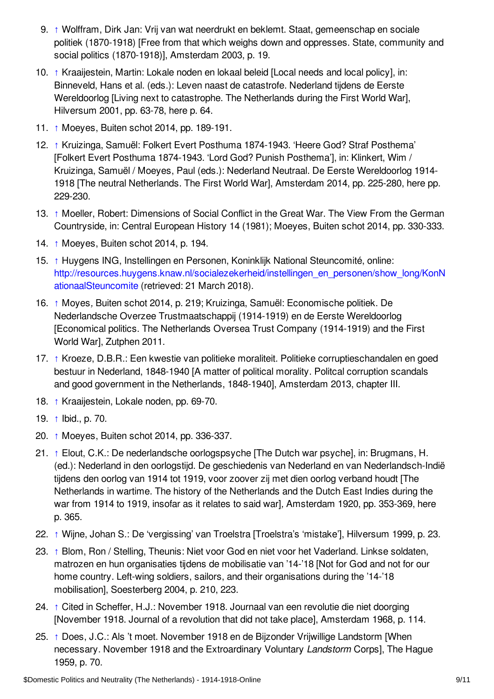- <span id="page-8-0"></span>9. [↑](#page-2-5) Wolffram, Dirk Jan: Vrij van wat neerdrukt en beklemt. Staat, gemeenschap en sociale politiek (1870-1918) [Free from that which weighs down and oppresses. State, community and social politics (1870-1918)], Amsterdam 2003, p. 19.
- <span id="page-8-1"></span>10. [↑](#page-2-6) Kraaijestein, Martin: Lokale noden en lokaal beleid [Local needs and local policy], in: Binneveld, Hans et al. (eds.): Leven naast de catastrofe. Nederland tijdens de Eerste Wereldoorlog [Living next to catastrophe. The Netherlands during the First World War], Hilversum 2001, pp. 63-78, here p. 64.
- <span id="page-8-2"></span>11. [↑](#page-2-7) Moeyes, Buiten schot 2014, pp. 189-191.
- <span id="page-8-3"></span>12. [↑](#page-2-8) Kruizinga, Samuël: Folkert Evert Posthuma 1874-1943. 'Heere God? Straf Posthema' [Folkert Evert Posthuma 1874-1943. 'Lord God? Punish Posthema'], in: Klinkert, Wim / Kruizinga, Samuël / Moeyes, Paul (eds.): Nederland Neutraal. De Eerste Wereldoorlog 1914- 1918 [The neutral Netherlands. The First World War], Amsterdam 2014, pp. 225-280, here pp. 229-230.
- <span id="page-8-4"></span>13. [↑](#page-3-0) Moeller, Robert: Dimensions of Social Conflict in the Great War. The View From the German Countryside, in: Central European History 14 (1981); Moeyes, Buiten schot 2014, pp. 330-333.
- <span id="page-8-5"></span>14. [↑](#page-3-1) Moeyes, Buiten schot 2014, p. 194.
- <span id="page-8-6"></span>15. [↑](#page-3-2) Huygens ING, Instellingen en Personen, Koninklijk National Steuncomité, online: [http://resources.huygens.knaw.nl/socialezekerheid/instellingen\\_en\\_personen/show\\_long/KonN](http://resources.huygens.knaw.nl/socialezekerheid/instellingen_en_personen/show_long/KonNationaalSteuncomite) ationaalSteuncomite (retrieved: 21 March 2018).
- <span id="page-8-7"></span>16. [↑](#page-3-3) Moyes*,* Buiten schot 2014, p. 219; Kruizinga, Samuël: Economische politiek. De Nederlandsche Overzee Trustmaatschappij (1914-1919) en de Eerste Wereldoorlog [Economical politics. The Netherlands Oversea Trust Company (1914-1919) and the First World War], Zutphen 2011.
- <span id="page-8-8"></span>17. [↑](#page-3-4) Kroeze, D.B.R.: Een kwestie van politieke moraliteit. Politieke corruptieschandalen en goed bestuur in Nederland, 1848-1940 [A matter of political morality. Politcal corruption scandals and good government in the Netherlands, 1848-1940], Amsterdam 2013, chapter III.
- <span id="page-8-9"></span>18. [↑](#page-3-5) Kraaijestein, Lokale noden, pp. 69-70.
- <span id="page-8-10"></span>19. [↑](#page-3-6) Ibid., p. 70.
- <span id="page-8-11"></span>20. [↑](#page-4-1) Moeyes, Buiten schot 2014, pp. 336-337.
- <span id="page-8-12"></span>21. [↑](#page-4-2) Elout, C.K.: De nederlandsche oorlogspsyche [The Dutch war psyche], in: Brugmans, H. (ed.): Nederland in den oorlogstijd. De geschiedenis van Nederland en van Nederlandsch-Indië tijdens den oorlog van 1914 tot 1919, voor zoover zij met dien oorlog verband houdt [The Netherlands in wartime. The history of the Netherlands and the Dutch East Indies during the war from 1914 to 1919, insofar as it relates to said war]*,* Amsterdam 1920, pp. 353-369, here p. 365.
- <span id="page-8-13"></span>22. [↑](#page-5-1) Wijne, Johan S.: De 'vergissing' van Troelstra [Troelstra's 'mistake'], Hilversum 1999, p. 23.
- <span id="page-8-14"></span>23. [↑](#page-5-2) Blom, Ron / Stelling, Theunis: Niet voor God en niet voor het Vaderland. Linkse soldaten, matrozen en hun organisaties tijdens de mobilisatie van '14-'18 [Not for God and not for our home country. Left-wing soldiers, sailors, and their organisations during the '14-'18 mobilisation], Soesterberg 2004, p. 210, 223.
- <span id="page-8-15"></span>24. [↑](#page-5-3) Cited in Scheffer, H.J.: November 1918. Journaal van een revolutie die niet doorging [November 1918. Journal of a revolution that did not take place], Amsterdam 1968, p. 114.
- <span id="page-8-16"></span>25. [↑](#page-5-4) Does, J.C.: Als 't moet. November 1918 en de Bijzonder Vrijwillige Landstorm [When necessary. November 1918 and the Extroardinary Voluntary *Landstorm* Corps], The Hague 1959, p. 70.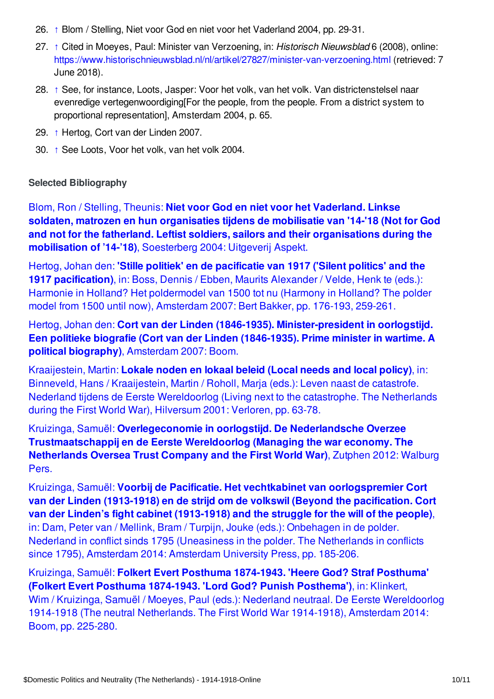- <span id="page-9-1"></span>26. [↑](#page-5-5) Blom / Stelling, Niet voor God en niet voor het Vaderland 2004, pp. 29-31.
- <span id="page-9-2"></span>27. [↑](#page-6-1) Cited in Moeyes, Paul: Minister van Verzoening, in: *Historisch Nieuwsblad* 6 (2008), online: <https://www.historischnieuwsblad.nl/nl/artikel/27827/minister-van-verzoening.html> (retrieved: 7 June 2018).
- <span id="page-9-3"></span>28. [↑](#page-6-2) See, for instance, Loots, Jasper: Voor het volk, van het volk. Van districtenstelsel naar evenredige vertegenwoordiging[For the people, from the people. From a district system to proportional representation], Amsterdam 2004, p. 65.
- <span id="page-9-4"></span>29. [↑](#page-6-3) Hertog, Cort van der Linden 2007.
- <span id="page-9-5"></span>30. [↑](#page-6-4) See Loots, Voor het volk, van het volk 2004.

#### <span id="page-9-0"></span>**Selected Bibliography**

Blom, Ron / Stelling, Theunis: **Niet voor God en niet voor het Vaderland. Linkse soldaten, matrozen en hun organisaties tijdens de mobilisatie van '14-'18 (Not for God and not for the fatherland. Leftist soldiers, sailors and their [organisations](https://encyclopedia.1914-1918-online.net/bibliography/B8RAXFJV) during the mobilisation of '14-'18)**, Soesterberg 2004: Uitgeverij Aspekt.

Hertog, Johan den: **'Stille politiek' en de pacificatie van 1917 ('Silent politics' and the 1917 [pacification\)](https://encyclopedia.1914-1918-online.net/bibliography/4PYP24ED)**, in: Boss, Dennis / Ebben, Maurits Alexander / Velde, Henk te (eds.): Harmonie in Holland? Het poldermodel van 1500 tot nu (Harmony in Holland? The polder model from 1500 until now), Amsterdam 2007: Bert Bakker, pp. 176-193, 259-261.

Hertog, Johan den: **Cort van der Linden (1846-1935). [Minister-president](https://encyclopedia.1914-1918-online.net/bibliography/VBPEET6D) in oorlogstijd. Een politieke biografie (Cort van der Linden (1846-1935). Prime minister in wartime. A political biography)**, Amsterdam 2007: Boom.

Kraaijestein, Martin: **Lokale noden en lokaal beleid (Local needs and local policy)**, in: Binneveld, Hans / Kraaijestein, Martin / Roholl, Marja (eds.): Leven naast de catastrofe. Nederland tijdens de Eerste [Wereldoorlog](https://encyclopedia.1914-1918-online.net/bibliography/CX3L76H6) (Living next to the catastrophe. The Netherlands during the First World War), Hilversum 2001: Verloren, pp. 63-78.

Kruizinga, Samuël: **Overlegeconomie in oorlogstijd. De Nederlandsche Overzee [Trustmaatschappij](https://encyclopedia.1914-1918-online.net/bibliography/KHCMQ33D) en de Eerste Wereldoorlog (Managing the war economy. The Netherlands Oversea Trust Company and the First World War)**, Zutphen 2012: Walburg Pers.

Kruizinga, Samuël: **Voorbij de Pacificatie. Het vechtkabinet van [oorlogspremier](https://encyclopedia.1914-1918-online.net/bibliography/KLYIM6BL) Cort van der Linden (1913-1918) en de strijd om de volkswil (Beyond the pacification. Cort van der Linden's fight cabinet (1913-1918) and the struggle for the will of the people)**, in: Dam, Peter van / Mellink, Bram / Turpijn, Jouke (eds.): Onbehagen in de polder. Nederland in conflict sinds 1795 (Uneasiness in the polder. The Netherlands in conflicts since 1795), Amsterdam 2014: Amsterdam University Press, pp. 185-206.

Kruizinga, Samuël: **Folkert Evert Posthuma 1874-1943. 'Heere God? Straf Posthuma' (Folkert Evert Posthuma 1874-1943. 'Lord God? Punish Posthema')**, in: Klinkert, Wim / Kruizinga, Samuël / Moeyes, Paul (eds.): Nederland neutraal. De Eerste [Wereldoorlog](https://encyclopedia.1914-1918-online.net/bibliography/UV4SXAK4) 1914-1918 (The neutral Netherlands. The First World War 1914-1918), Amsterdam 2014: Boom, pp. 225-280.